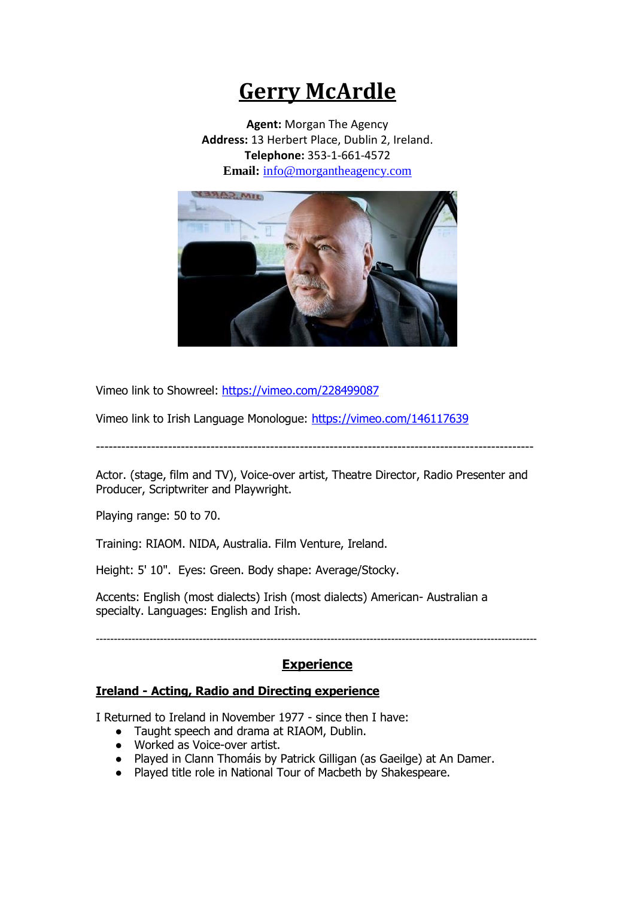## **Gerry McArdle**

**Agent:** Morgan The Agency **Address:** 13 Herbert Place, Dublin 2, Ireland. **Telephone:** 353-1-661-4572 **Email:** [info@morgantheagency.com](mailto:info@morgantheagency.com)



Vimeo link to Showreel: <https://vimeo.com/228499087>

Vimeo link to Irish Language Monologue: <https://vimeo.com/146117639>

-------------------------------------------------------------------------------------------------------

Actor. (stage, film and TV), Voice-over artist, Theatre Director, Radio Presenter and Producer, Scriptwriter and Playwright.

Playing range: 50 to 70.

Training: RIAOM. NIDA, Australia. Film Venture, Ireland.

Height: 5' 10". Eyes: Green. Body shape: Average/Stocky.

Accents: English (most dialects) Irish (most dialects) American- Australian a specialty. Languages: English and Irish.

**----------------------------------------------------------------------------------------------------------------------------**

## **Experience**

## **Ireland - Acting, Radio and Directing experience**

I Returned to Ireland in November 1977 - since then I have:

- Taught speech and drama at RIAOM, Dublin.
- Worked as Voice-over artist.
- Played in Clann Thomáis by Patrick Gilligan (as Gaeilge) at An Damer.
- Played title role in National Tour of Macbeth by Shakespeare.